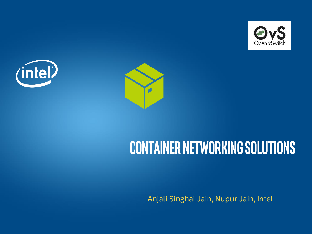





# **Container Networking Solutions**

Anjali Singhai Jain, Nupur Jain, Intel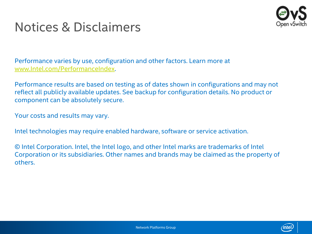

### Notices & Disclaimers

Performance varies by use, configuration and other factors. Learn more at [www.Intel.com/PerformanceIndex.](http://www.intel.com/PerformanceIndex)

Performance results are based on testing as of dates shown in configurations and may not reflect all publicly available updates. See backup for configuration details. No product or component can be absolutely secure.

Your costs and results may vary.

Intel technologies may require enabled hardware, software or service activation.

© Intel Corporation. Intel, the Intel logo, and other Intel marks are trademarks of Intel Corporation or its subsidiaries. Other names and brands may be claimed as the property of others.

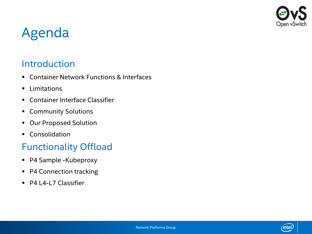

# Agenda

### **Introduction**

- Container Network Functions & Interfaces
- **·** Limitations
- **EXECONTAINER Interface Classifier**
- Community Solutions
- Our Proposed Solution
- Consolidation

### Functionality Offload

- P4 Sample -Kubeproxy
- P4 Connection tracking
- P4 L4-L7 Classifier

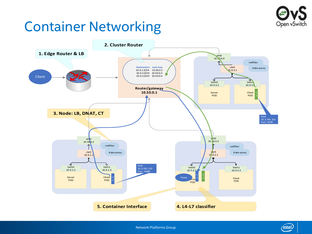

# Container Networking





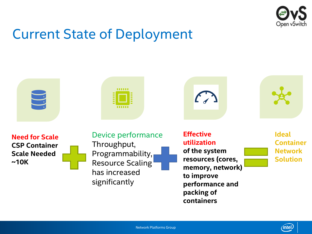

 $^{\prime}$ intel $\dot{\phantom{a}}$ 

# Current State of Deployment

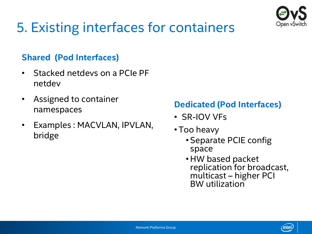

# 5. Existing interfaces for containers

### **Shared (Pod Interfaces)**

- Stacked netdevs on a PCIe PF netdev
- Assigned to container namespaces
- Examples : MACVLAN, IPVLAN, bridge

### **Dedicated (Pod Interfaces)**

- SR-IOV VFs
- Too heavy
	- Separate PCIE config space
	- HW based packet replication for broadcast, multicast – higher PCI BW utilization

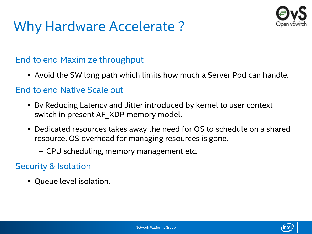# Why Hardware Accelerate ?



### End to end Maximize throughput

■ Avoid the SW long path which limits how much a Server Pod can handle.

#### End to end Native Scale out

- By Reducing Latency and Jitter introduced by kernel to user context switch in present AF\_XDP memory model.
- Dedicated resources takes away the need for OS to schedule on a shared resource. OS overhead for managing resources is gone.
	- CPU scheduling, memory management etc.

### Security & Isolation

▪ Queue level isolation.

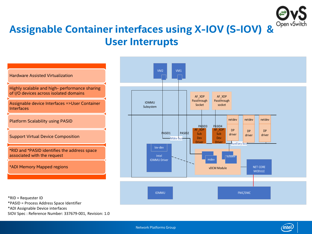

### **Assignable Container interfaces using X-IOV (S-IOV) & User Interrupts**



\*ADI Assignable Device interfaces

SIOV Spec : Reference Number: 337679-001, Revision: 1.0

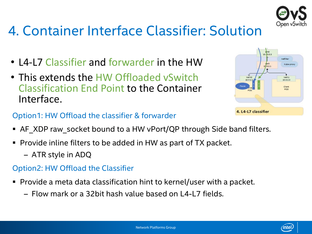

# 4. Container Interface Classifier: Solution

- L4-L7 Classifier and forwarder in the HW
- This extends the HW Offloaded vSwitch Classification End Point to the Container Interface.



### Option1: HW Offload the classifier & forwarder

- AF XDP raw socket bound to a HW vPort/QP through Side band filters.
- Provide inline filters to be added in HW as part of TX packet.
	- ATR style in ADQ

#### Option2: HW Offload the Classifier

- Provide a meta data classification hint to kernel/user with a packet.
	- Flow mark or a 32bit hash value based on L4-L7 fields.

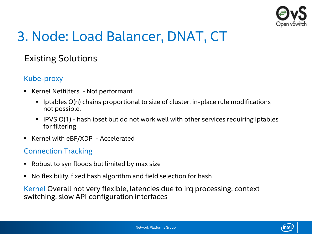

# 3. Node: Load Balancer, DNAT, CT

### Existing Solutions

#### Kube-proxy

- Kernel Netfilters Not performant
	- lptables O(n) chains proportional to size of cluster, in-place rule modifications not possible.
	- IPVS O(1) hash ipset but do not work well with other services requiring iptables for filtering
- Kernel with eBF/XDP Accelerated

#### Connection Tracking

- Robust to syn floods but limited by max size
- No flexibility, fixed hash algorithm and field selection for hash

Kernel Overall not very flexible, latencies due to irq processing, context switching, slow API configuration interfaces

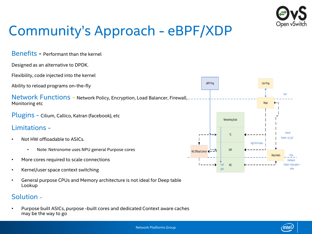

intel.

# Community's Approach - eBPF/XDP

Benefits - Performant than the kernel

Designed as an alternative to DPDK.

Flexibility, code injected into the kernel

Ability to reload programs on-the-fly

Network Functions - Network Policy, Encryption, Load Balancer, Firewall, Monitoring etc

Plugins - Cilium, Callico, Katran (facebook), etc

#### Limitations -

- Not HW offloadable to ASICs.
	- Note: Netronome uses NPU general Purpose cores
- More cores required to scale connections
- Kernel/user space context switching
- General purpose CPUs and Memory architecture is not ideal for Deep table Lookup

#### Solution –

• Purpose built ASICs, purpose -built cores and dedicated Context aware caches may be the way to go

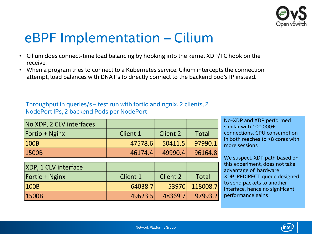

# eBPF Implementation – Cilium

- Cilium does connect-time load balancing by hooking into the kernel XDP/TC hook on the receive.
- When a program tries to connect to a Kubernetes service, Cilium intercepts the connection attempt, load balances with DNAT's to directly connect to the backend pod's IP instead.

Throughput in queries/s – test run with fortio and ngnix. 2 clients, 2 NodePort IPs, 2 backend Pods per NodePort

| No XDP, 2 CLV interfaces |          |                 |              |
|--------------------------|----------|-----------------|--------------|
| Fortio + Nginx           | Client 1 | <b>Client 2</b> | <b>Total</b> |
| 100B                     | 47578.6  | 50411.5         | 97990.1      |
| 1500B                    | 46174.4  | 49990.4         | 96164.8      |

No-XDP and XDP performed similar with 100,000+ connections. CPU consumption in both reaches to >8 cores with more sessions

We suspect, XDP path based on this experiment, does not take advantage of hardware XDP\_REDIRECT queue designed to send packets to another interface, hence no significant performance gains

| XDP, 1 CLV interface  |          |          |              |
|-----------------------|----------|----------|--------------|
| <b>Fortio + Nginx</b> | Client 1 | Client 2 | <b>Total</b> |
| 100B                  | 64038.7  | 53970    | 118008.7     |
| 1500B                 | 49623.5  | 48369.7  | 97993        |



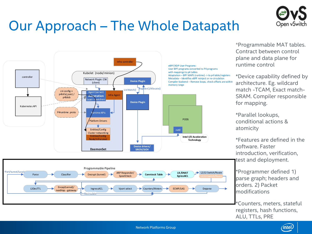

# Our Approach – The Whole Datapath



\*Programmable MAT tables. Contract between control plane and data plane for runtime control

\*Device capability defined by architecture. Eg. wildcard match -TCAM, Exact match-SRAM. Compiler responsible for mapping.

\*Parallel lookups, conditional actions & atomicity

\*Features are defined in the software. Faster introduction, verification, test and deployment.

\*Programmer defined 1) parse graph; headers and orders. 2) Packet modifications

\*Counters, meters, stateful registers, hash functions, ALU, TTLs, PRE

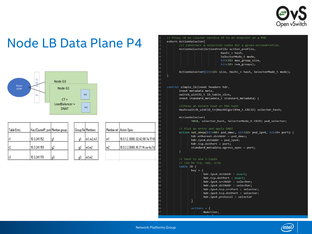

### Node LB Data Plane P4



| Table Entry | Key (ClusterIP, port Member group) |    | Group Re Members |                     |
|-------------|------------------------------------|----|------------------|---------------------|
|             |                                    |    |                  |                     |
|             | 10.3.241.152                       | g1 | q                | $\lfloor$ m1, m2,m3 |
|             |                                    |    |                  |                     |
| ť2          | 10.3.241.159                       | g2 | g2               | m1.m2               |
|             |                                    |    |                  |                     |
| ıЗ          | 10.3.241.170                       | gЗ | gЗ               | m1,m2               |

|    | Member ref Action Spec            |
|----|-----------------------------------|
|    |                                   |
|    | 10.0.1.2, 8080, 02:42:88:7e:17:61 |
| m2 | 10.0.2.2,8080, f6:27:14:ce:4a:7d  |
|    |                                   |

2,m3

// Proxy LB on cluster service IP to an endpoint on a POD extern ActionSelector{

/// Construct a selection table for a given ActionProfile.

ActionSelector(ActionProfile action profile,

Hash $\langle \rangle$  hash, SelectorMode t mode, bit<32> max group size, bit<32> num\_groups);

ActionSelector(bit<32> size, Hash< > hash, SelectorMode t mode);

control simple lb(inout headers hdr, inout metadata meta, switch\_uint32\_t lb\_table\_size, inout standard metadata t standard metadata) {

Hash<switch\_uint32\_t>(HashAlgorithm\_t.CRC32) selector\_hash;

ActionSelector(

```
1024, selector hash, SelectorMode t.FAIR) pod selector;
```
// Pick an entry and apply DNAT

```
action set nhop(bit<48> pod dmac, bit<32> pod ipv4, bit<9> port) {
      hdr.ethernet.dstAddr = pod_dmac;
      hdr.ipv4.dstAddr = pod_ipv4;
      hdr.tcp.dstPort = port;standard_metadata.egress_spec = port;
Þ
```

```
// hash to use 5-tuple
```

```
table 1b \{key = {hdr.ipv4.dstAddr : exact;
              hdr.tcp.dstPort : exact;
             hdr.ipv4.srcAddr : selector;
             hdr.ipv4.dstAddr : selector;
              hdr.ipv4.tcp.srcPort : selector;
             hdr.ipv4.tcp.dstPort : selector;
              hdr.ipv4.protocol : selector
       actions = \{NoAction;
```
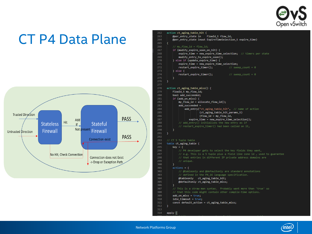

### CT P4 Data Plane



| OZ. | acriou cr <sup>ogrug</sup> rapie urr (                                 |
|-----|------------------------------------------------------------------------|
| 63  | @per_entry_state in<br>FlowId_t flow_id,                               |
| 64  | @per_entry_state inout ExpireTimeSelection_t expire_time)              |
| 65  | €                                                                      |
| 66  | // my_flow_id = flow_id;                                               |
| 67  | if (modify_expire_soon_on_hit) {                                       |
| 68  | expire_time = new_expire_time_selection; // timers per state           |
| 69  | modify entry to expire soon();                                         |
| 70  | } else if (update_expire_time) {                                       |
| 71  | expire_time = new_expire_time_selection;                               |
| 72  | restart_expire_timer();<br>// $sweep_count = 0$                        |
| 73  | } else {                                                               |
| 74  | restart_expire_timer();<br>// $sweep_count = 0$                        |
| 75  | ł                                                                      |
| 76  | Y                                                                      |
| 77  |                                                                        |
| 78  | action ct_aging_table_miss() {                                         |
| 79  | FlowId_t my_flow_id;                                                   |
| 80  | bool add_succeeded;                                                    |
| 81  | if $(add_0, \text{miss})$ {                                            |
| 82  | my_flow_id = allocate_flow_id();                                       |
| 83  | $add\_succeeded =$                                                     |
| 84  | add_entry("ct_aging_table_hit", // name of action                      |
| 85  | (ct_aging_table_hit_params_t)                                          |
| 86  | ${flow_id = my_flow_id}$ ,                                             |
| 87  | expire_time = new_expire_time_selection});                             |
| 88  | // add_entry() initializes the new entry as if                         |
| 89  | // restart_expire_timer() had been called on it,                       |
| 90  | ł                                                                      |
| 91  | Y                                                                      |
| 92  |                                                                        |
| 93  | // CT 5 Tuple table                                                    |
| 94  | table ct_aging_table {                                                 |
| 95  | $key = {$                                                              |
| 96  | // P4 developer gets to select the key fields they want,               |
| 97  | // e.g. This is a 5 tuple plus a field like zone id, used to guarantee |
| 98  | // that entries in different IP private address domains are            |
| 99  | // unique.                                                             |
| 90  | Y                                                                      |
| 01  | $actions = {$                                                          |
| 02  | // @tableonly and @defaultonly are standard annotations                |
| 03  | // defined in the P4_16 language specification.                        |
| 04  | @tableonly ct_aging_table_hit;                                         |
| 05  | @defaultonly ct_aging_table_miss;                                      |
| 06  |                                                                        |
| 07  | // This is a straw man syntax. Probably want more than 'true' so       |
| 88  | // that this code might contain other compile-time options.            |
| 09  | $add\_on\_miss = true;$                                                |
| 10  | $idle_timeout = true;$                                                 |
| 11  | const default_action = ct_aging_table_miss;                            |
| 12  | Y.                                                                     |
| 13  |                                                                        |
| 14  | $apply$ {                                                              |
|     |                                                                        |

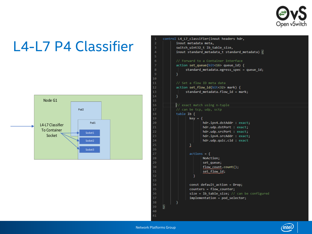

# L4-L7 P4 Classifier





 $41$ 

 $11$ 

 $13$ 

19

 $21$ 

 $32$ 

$$
\widehat{\text{(\textit{intel})}}
$$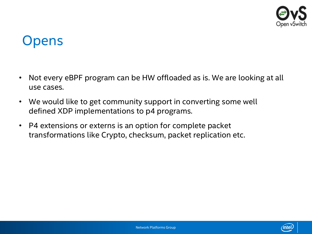

### **Opens**

- Not every eBPF program can be HW offloaded as is. We are looking at all use cases.
- We would like to get community support in converting some well defined XDP implementations to p4 programs.
- P4 extensions or externs is an option for complete packet transformations like Crypto, checksum, packet replication etc.

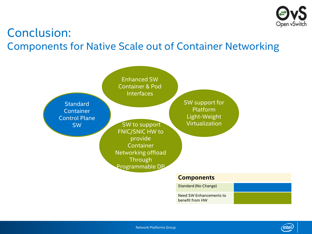

### Conclusion: Components for Native Scale out of Container Networking





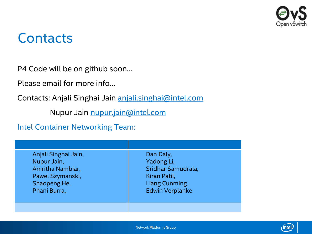

### **Contacts**

P4 Code will be on github soon…

Please email for more info…

Contacts: Anjali Singhai Jain [anjali.singhai@intel.com](mailto:anjali.singhai@intel.com)

Nupur Jain [nupur.jain@intel.com](mailto:nupur.jain@intel.com)

Intel Container Networking Team:

| Anjali Singhai Jain,<br>Nupur Jain,<br>Amritha Nambiar,<br>Pawel Szymanski,<br>Shaopeng He,<br>Phani Burra, | Dan Daly,<br>Yadong Li,<br>Sridhar Samudrala,<br>Kiran Patil,<br>Liang Cunming,<br><b>Edwin Verplanke</b> |
|-------------------------------------------------------------------------------------------------------------|-----------------------------------------------------------------------------------------------------------|
|                                                                                                             |                                                                                                           |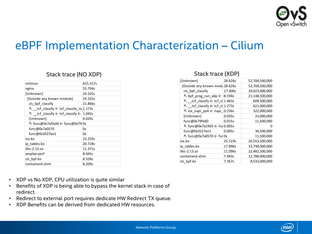

### eBPF Implementation Characterization – Cilium

|                                                                         |          | [Unknown]                                         | 28.626s |
|-------------------------------------------------------------------------|----------|---------------------------------------------------|---------|
| vmlinux                                                                 | 615.317s | [Outside any known modu 28.626s                   |         |
| nginx                                                                   | 55.704s  | cls_bpf_classify                                  | 17.400s |
| [Unknown]                                                               | 24.101s  | $\nabla$ bpf_prog_run_xdp $\leftarrow$  8.194s    |         |
| [Outside any known module]                                              | 24.101s  | K _tcf_classify ← tcf_cl 1.463s                   |         |
| cls bpf classify                                                        | 21.866s  | $⊓$ tcf classify $\leftarrow$ tcf cl 1.273s       |         |
| $\nabla$ _tcf_classify $\leftarrow$ tcf_classify_in 1.173s              |          | $\sqrt{2}$ ice_napi_poll $\leftarrow$ napi_0.236s |         |
| $\mathbb{R}$ tcf classify $\leftarrow$ tcf classify $\leftarrow$ 1.042s |          | [Unknown]                                         | 0.035s  |
| [Unknown]                                                               | 0.020s   | func@0x79fe60                                     | 0.015s  |
| K func@0x7a5bd4 ← func@0x79 0s                                          |          | $\nabla$ func@0x7a19d5 $\leftarrow$ fur 0.005s    |         |
| func@0x7a0570                                                           | 0s       | func@0x3527ee1                                    | 0.005s  |
| func@0x3527ee1                                                          | 0s       | $\nabla$ func@0x7a0570 $\leftarrow$ furl0s        |         |
| ice.ko                                                                  | 23.259s  | ice.ko                                            | 25.519s |
| ip tables.ko                                                            | 20.728s  | ip tables.ko                                      | 17.896s |
| $libc-2.13.$ so                                                         | 11.371s  | $libc-2.13.so$                                    | 11.096s |
| amplxe-perf                                                             | 8.445s   | containerd-shim                                   | 7.943s  |
| cls_bpf.ko                                                              | 8.339s   | cls_bpf.ko                                        | 7.367s  |
| containerd-shim                                                         | 8.209s   |                                                   |         |

#### Stack trace (NO XDP)

| [Unknown]                                             | 28.626s | 52,704,500,000 |
|-------------------------------------------------------|---------|----------------|
| [Outside any known modu 28.626s]                      |         | 52,704,500,000 |
| cls_bpf_classify                                      | 17.400s | 29,923,000,000 |
| $\triangledown$ bpf prog run xdp $\leftarrow$ 18.194s |         | 21,148,500,000 |
| $\nabla$ tcf classify $\leftarrow$ tcf cl 1.463s      |         | 609,500,000    |
| $\nabla$ tcf classify $\leftarrow$ tcf cl 1.273s      |         | 621,000,000    |
| $\overline{R}$ ice napi poll $\leftarrow$ napi 0.236s |         | 322,000,000    |
| [Unknown]                                             | 0.035s  | 23,000,000     |
| func@0x79fe60                                         | 0.015s  | 11,500,000     |
| $\nabla$ func@0x7a19d5 $\leftarrow$ fur 0.005s        |         |                |
| func@0x3527ee1                                        | 0.005s  | 34,500,000     |
| $\mathcal{F}$ func@0x7a0570 $\leftarrow$ furl0s       |         | 11,500,000     |
| ice.ko                                                | 25.519s | 26,553,500,000 |
| ip tables.ko                                          | 17.896s | 32,798,000,000 |
| $libc-2.13.50$                                        | 11.096s | 22,482,500,000 |
| containerd-shim                                       | 7.943s  | 12,788,000,000 |
| cls bpf.ko                                            | 7.367s  | 8,533,000,000  |

Stack trace (XDP)

- XDP vs No XDP, CPU utilization is quite similar
- Benefits of XDP is being able to bypass the kernel stack in case of redirect.
- Redirect to external port requires dedicate HW Redirect TX queue.
- 

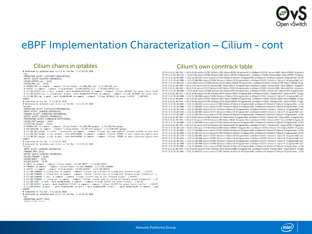

### eBPF Implementation Characterization – Cilium - cont

\*naw :PREROUTING ACCEPT [339745057:40541787768] :OUTPUT ACCEPT [1966765:7841806195] :CILIUM\_OUTPUT\_raw - [0:0] : $CLIUM$  PRE  $raw - [0:0]$ -A PREROUTING -m comment --comment "cilium-feeder: CILIUM PRE raw" -j CILIUM PRE raw -A OUTPUT -m comment --comment "cilium-feeder: CILIUM OUTPUT raw" -j CILIUM OUTPUT raw -A CILIUM\_OUTPUT\_raw -o lxc+ -m mark --mark 0xa00/0xfffffeff -m comment --comment "cilium: NOTRACK for proxy return traff -A CILIUM OUTPUT raw -o cilium host -m mark --mark 0xa00/0xfffffeff -m comment --comment "cilium: NOTRACK for proxy retur -A CILIUM PRE raw -m mark --mark 0x200/0xf00 -m comment --comment "cilium: NOTRACK for proxy traffic" -j NOTRACK COMMTT # Completed on Tue Dec 1 13:22:26 2020 # Generated by iptables-save v1.6.1 on Tue Dec 1 13:22:26 2020 \*mangle :PREROUTING ACCEPT [339745170:40541800199] :INPUT ACCEPT [1689410:7607891639] :FORWARD ACCEPT [338055760:32933908560] : OUTPUT ACCEPT [1966765: 7841806195] :POSTROUTING ACCEPT [340022530:40775715026] :CILIUM\_POST\_mangle - [0:0] :CILIUM PRE mangle - [0:0] -A PREROUTING -m comment --comment "cilium-feeder: CILIUM\_PRE\_mangle" -j CILIUM\_PRE\_mangle -A POSTROUTING -m comment --comment "cilium-feeder: CILIUM POST mangle" -j CILIUM POST mangle -A CILIUM\_PRE\_mangle -m socket --transparent -m comment --comment "cilium: any->pod redirect proxied traffic to host prox -A CILIUM PRE mangle -p tcp -m mark --mark 0xd7ae0200 -m comment --comment "cilium: TPROXY to host cilium-dns-egress prox -A CILIUM PRE mangle -p udp -m mark --mark 0xd7ae0200 -m comment --comment "cilium: TPROXY to host cilium-dns-egress prox COMMT1 # Completed on Tue Dec 1 13:22:26 2020 # Generated by iptables-save v1.6.1 on Tue Dec 1 13:22:26 2020 \*filter :INPUT ACCEPT [1689410:7607891639] :FORWARD DROP [0:0] :OUTPUT ACCEPT [1966765:7841806195] :CILIUM\_FORWARD - [0:0] :CILIUM INPUT - [0:0] :CILIUM OUTPUT - [0:0] -A INPUT -m comment --comment "cilium-feeder: CILIUM INPUT" -i CILIUM INPUT -A FORWARD -m comment --comment "cilium-feeder: CILIUM\_FORWARD" -j CILIUM\_FORWARD -A OUTPUT -m comment --comment "cilium-feeder: CILIUM OUTPUT" -j CILIUM OUTPUT -A CILIUM\_FORWARD -o cilium\_host -m comment --comment "cilium: any->cluster on cilium\_host forward accept" -j ACCEPT -A CILIUM FORWARD -i cilium host -m comment --comment "cilium: cluster->any on cilium host forward accept (nodeport)" -i -A CILIUM\_FORWARD -i 1xc+ -m comment --comment "cilium: cluster->any on 1xc+ forward accept" -j ACCEPT -A CILIUM\_FORWARD -i cilium\_net -m comment --comment "cilium: cluster->any on cilium\_net forward accept (nodeport)" -j AC -A CILIUM INPUT -m mark --mark 0x200/0xf00 -m comment --comment "cilium: ACCEPT for proxy traffic" -j ACCEPT -A CILIUM OUTPUT -m mark --mark 0xa00/0xfffffeff -m comment --comment "cilium: ACCEPT for proxy return traffic" -j ACCEPT -A CILIUM OUTPUT -m mark ! --mark 0xe00/0xf00 -m mark ! --mark 0xd00/0xf00 -m mark ! --mark 0xa00/0xe00 -m comment --comm COMMTT # Completed on Tue Dec 1 13:22:26 2020 # Generated by iptables-save v1.6.1 on Tue Dec 1 13:22:26 2020 \*nat :PREROUTING ACCEPT [0:0] **ITMOUT ACCEDE FAIAT** 

#### Cilium chains in iptables<br> **Cilium's own conntrack table**<br> **Cilium's own conntrack table**

TCP IN 12.91.212.200:37386 -> 10.0.0.241:80 expires=17272887 RxPackets=18796 RxBytes=2057656 RxFlagsSeen=0x1b LastRxReport=17251794 TxPackets=18915 TxBytes=4544990 TxFlagsSeen=4 TCP 0UT 13.91.212.200:33224 -> 10.0.0.55:80 expires=17275420 RxPackets=83205 RxDytes=19555155 RxFlagsSeen-0x1a LastRxReport=17254320 TxPackets=80142 TxDytes=9897097 TxFlagsSeen-TCP OUT 12.91.212.202:30007 -> 12.91.212.200:36342 service expires=17272760 RxPackets=0 RxBytes=6 RxFlagsSeen=0x00 LastRxReport=0 TxPackets=0 TxBytes=0 TxFlagsSeen=0x1f LastTxR TCP 0UT 12.91.212.202:38900 -> 12.91.212.200:30008 expires=17274846 RxPackets=2 RxBytes=120 RxFlagsSeen=0x14 LastRxReport=17253753 TxPackets=1 TxFytes=74 TxFlagsSeen=0x02 LastT; TCP 0UT 12.91.212.200:43362 -> 10.0.0.246:80 expires=17275288 RxPackets=141178 RxBytes=33482100 RxFlagsSeen=0x1a LastRxReport=17254194 TxPackets=137700 TxBytes=17005280 TxFlags! TCP IN 13.91.212.200:49604 -> 10.0.0.55:80 expires=17271556 RxPackets=90047 RxBytes=9859771 RxFlagsSeen=0x1b LastRxReport=17250463 TxPackets=91583 TxBytes=21846155 TxFlagsSeen=0 TCP IN 13.91.212.200:55058 -> 10.0.0.55:80 expires=17273171 RxPackets=52349 RxBytes=5757922 RxFlagsSeen=0x1b LastRxReport=17252078 TxPackets=53989 TxBytes=49437539 TxFlagsSeen=0 TCP 0UT 12.91.212.200:43004 -> 10.0.0.241:80 expires=17275006 RxPackets=1016 RxBytes=227571 RxFlagsSeen=0x1a LastRxReport=17253912 TxPackets=923 TxBytes=113493 TxFlagsSeen=0x1e TCP IN 12.91.212.200:43512 -> 10.0.0.246:80 expires=17275288 RxPackets=140974 RxBytes=17409857 RxFlagsSeen=0x1e LastRxReport=17254195 TxPackets=145276 TxBytes=34327857 TxFlagsSr TCP 0UT 13.91.212.202:48840 -> 13.91.212.200:30008 expires=17274814 RxPackets=2 RxBvtes=120 RxFlagsSeen=0x14 LastRxReport=17253721 TxPackets=1 TxBvtes=74 TxFlagsSeen=0x02 LastT; TCP IN 12.91.212.200:44096 -> 10.0.0.241:80 expires=17275421 RxPackets=102519 RxBytes=12660607 RxFlagsSeen=0x1e LastRxReport=17254328 TxPackets=104458 TxBytes=24884841 TxFlagsSe TCP IN 12.91.212.200:43468 -> 10.0.0.246:80 expires=17275288 RxPackets=130334 RxBytes=16095587 RxFlagsSeen=0x1e LastRxReport=17254195 TxPackets=133864 TxBytes=31706643 TxFlagsSe TCP OUT 12.91.212.202:30007 -> 12.91.212.208:42992 service expires=17275006 RxPackets=0 RxRytes=6 RxFlagsSeen=0x00 LastRxReport=0 TxPackets=0 TxDytes=0 TxFlagsSeen=0x1e LastTxR TCP OUT 13.91.212.202:30008 -> 13.91.212.200:54258 service expires=17272887 RxPackets=0 RxBytes=9 RxFlagsSeen=0x00 LastRxReport=0 TxPackets=0 TxBytes=0 TxFlagsSeen=0x1b LastTxR TCP 0UT 12.91.212.202:54410 -> 12.91.212.200:30007 expires=17274731 RxPackets=2 RxBytes=120 RxFlagsSeen=0x14 LastRxReport=17253638 TxPackets=1 TxBytes=74 TxFlagsSeen=0x02 LastT; TCP 0UT 12.91.212.202:54426 -> 12.91.212.200:30007 expires=17274731 RxPackets=2 RxBytes=120 RxFlagsSeen=0x14 LastRxReport=17253638 TxPackets=1 TxBytes=74 TxFlagsSeen=0x02 LastT; TCP OUT 12.91.212.202:30007 -> 12.91.212.208:35150 service expires=17272401 RxPackets=0 RxBytes=8 RxFlagsSeen=0x00 LastRxReport=0 TxPackets=0 TxBytes=0 TxFlagsSeen=0x1f LastTxRe TCP IN 12.91.212.200:42930 -> 10.0.0.246:80 expires=17275006 RxPackets=1174 RxBvtes=144442 RxFlagsSeen=0x1e LastRxReport=17253913 TxPackets=1292 TxBvtes=289662 TxFlagsSeen=0x1a TCP IN 13.91.212.200:33946 -> 10.0.0.55:80 expires=17275768 RxPackets=24996 RxPytes=3086447 RxFlagsSeen=0x1a LastRxReport=17254672 TxPackets=25670 TxBytes=6078920 TxFlagsSeen=0: TCP OUT 12.91.212.202:30007 -> 12.91.212.208:38580 service expires=17273496 RxPackets=0 RxBytes=6 RxFlagsSeen=0x00 LastRxReport=0 TxPackets=0 TxBytes=0 TxFlagsSeen=0x1b LastTxR TCP IN 13.91.212.200:34256 -> 10.0.0.55:80 expires=17275769 RxPackets=21454 RxBytes=2649240 RxFlagsSeen=0x1a LastRxReport=17254675 TxPackets=22597 TxBytes=5255183 TxFlagsSeen=0: TCP 0UT 13.91.212.200:33150 -> 10.0.0.55:80 expires=17275420 RxPackets=80644 RxBytes=19005294 RxFlagsSeen=0x1a LastRxReport=17254316 TxPackets=77972 TxBytes=9629102 TxFlagsSeen-TCP OUT 12.91.212.202:30007 -> 12.91.212.200:44004 service expires=17275421 RxPackets=0 RxRytes=8 RxFlagsSeen=0x00 LastRxReport=0 TxPackets=0 TxDytes=0 TxFlagsSeen=0x1e LastTxRe TCP OUT 13.91.212.202:30008 -> 13.91.212.200:55654 service expires=17273480 RxPackets=0 RxBytes=9 RxFlagsSeen=0x00 LastRxReport=0 TxPackets=0 TxBytes=0 TxFlagsSeen=0x1b LastTxRe TCP 0UT 12.91.212.202:55190 -> 12.91.212.200:30007 expires=17274765 RxPackets=2 RxBytes=120 RxFlagsSeen=0x14 LastRxReport=17253672 TxPackets=1 TxBytes=74 TxFlagsSeen=0x02 LastT: TCP 0UT 12.91.212.202:39914 -> 12.91.212.200:30008 expires=17274929 RxPackets=2 RxBytes=120 RxFlagsSeen=0x14 LastRxReport=17253836 TxPackets=1 TxBytes=74 TxTlagsSeen=0x02 LastT: TCP 0UT 12.91.212.202:38932 -> 12.91.212.200:30008 expires=17274846 RxPackets=2 RxBytes=120 RxFlagsSeen=0x14 LastRxReport=17253753 TxPackets=1 TxBytes=74 TxFlagsSeen=0x02 LastT; TCP 0UT 12.91.212.202:38888 -> 12.91.212.200:30008 expires=17274846 RxPackets=2 RxBytes=120 RxFlagsSeen=0x14 LastRxReport=17253753 TxPackets=1 TxBytes=74 TxFlagsSeen=0x02 LastT; TCP OUT 12.91.212.202:30007 -> 12.91.212.200:44106 service expires=17275421 RxPackets=0 RxBytes=8 RxFlagsSeen=0x00 LastRxReport=0 TxPackets=0 TxFlagsSeen=0x1e LastTxRe TCP IN 12.91.212.200:44194 -> 10.0.0.246:80 expires=17275421 RxPackets=115638 RxBytes=14280861 RxFlagsSeen=0x1e LastRxReport=17254328 TxPackets=118303 TxBytes=28101171 TxFlagsSe TCP OUT 12.91.212.202:30007 -> 12.91.212.208:42722 service expires=17274983 RxPackets=0 RxBytes=8 RxFlagsSeen=0x00 LastRxReport=0 TxPackets=0 TxBytes=0 TxFlagsSeen=0x1e LastTxR

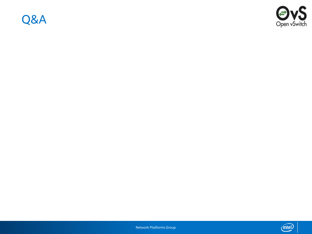